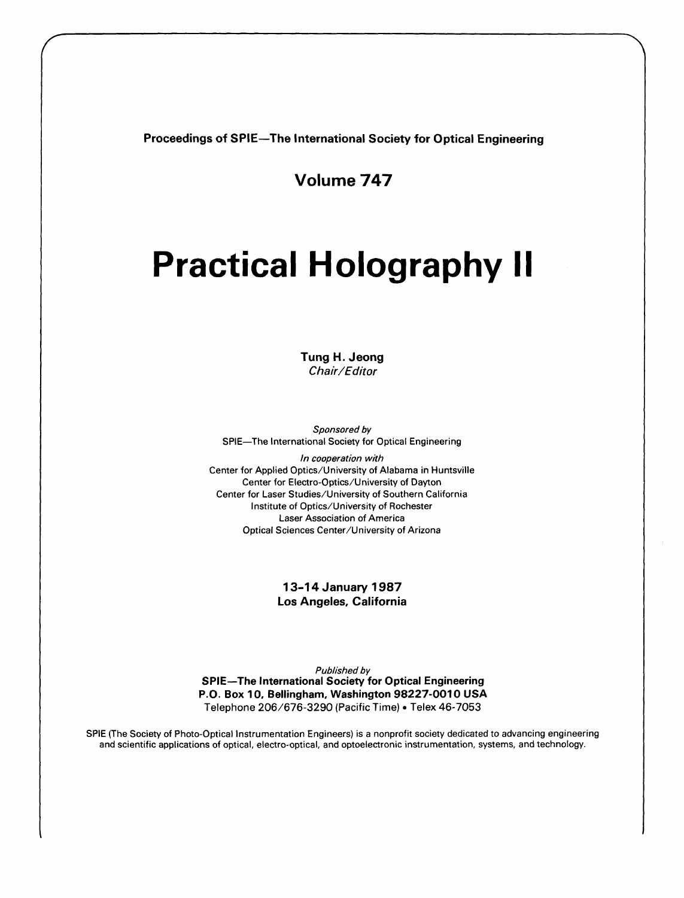Proceedings of SPIE—The International Society for Optical Engineering

Volume 747

## Practical Holography II

Tung H. Jeong Chair/Editor

Sponsored by SPIE—The International Society for Optical Engineering

In cooperation with Center for Applied Optics/University of Alabama in Huntsville Center for Electro-Optics/University of Dayton Center for Laser Studies/University of Southern California Institute of Optics/University of Rochester Laser Association of America Optical Sciences Center/University of Arizona

> 13-14 January 1987 Los Angeles, California

Published by SPIE—The International Society for Optical Engineering P.O. Box 10, Bellingham, Washington 98227-0010 USA Telephone 206/676-3290 (Pacific Time) • Telex 46-7053

SPIE (The Society of Photo-Optical Instrumentation Engineers) is a nonprofit society dedicated to advancing engineering and scientific applications of optical, electro-optical, and optoelectronic instrumentation, systems, and technology.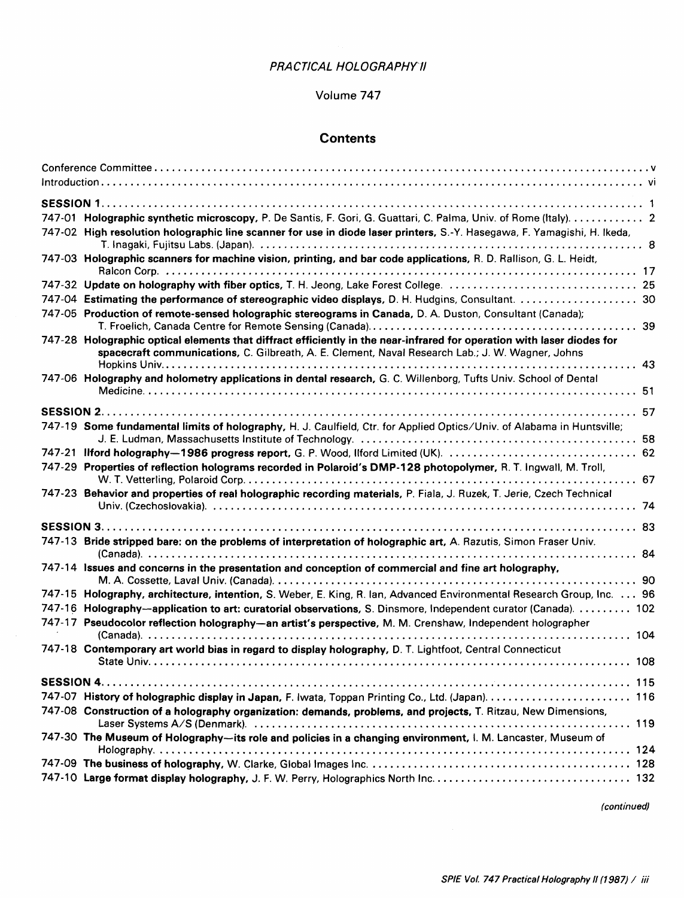## PRACTICAL HOLOGRAPHYII

## Volume 747

## **Contents**

| 747-01 Holographic synthetic microscopy, P. De Santis, F. Gori, G. Guattari, C. Palma, Univ. of Rome (Italy). 2          |  |
|--------------------------------------------------------------------------------------------------------------------------|--|
|                                                                                                                          |  |
| 747-02 High resolution holographic line scanner for use in diode laser printers, S.-Y. Hasegawa, F. Yamagishi, H. Ikeda, |  |
| 747-03 Holographic scanners for machine vision, printing, and bar code applications, R. D. Rallison, G. L. Heidt,        |  |
|                                                                                                                          |  |
|                                                                                                                          |  |
|                                                                                                                          |  |
| 747-05 Production of remote-sensed holographic stereograms in Canada, D. A. Duston, Consultant (Canada);                 |  |
|                                                                                                                          |  |
| 747-28 Holographic optical elements that diffract efficiently in the near-infrared for operation with laser diodes for   |  |
| spacecraft communications, C. Gilbreath, A. E. Clement, Naval Research Lab.; J. W. Wagner, Johns                         |  |
|                                                                                                                          |  |
| 747-06 Holography and holometry applications in dental research, G. C. Willenborg, Tufts Univ. School of Dental          |  |
|                                                                                                                          |  |
|                                                                                                                          |  |
| 747-19 Some fundamental limits of holography, H. J. Caulfield, Ctr. for Applied Optics/Univ. of Alabama in Huntsville;   |  |
|                                                                                                                          |  |
|                                                                                                                          |  |
| 747-29 Properties of reflection holograms recorded in Polaroid's DMP-128 photopolymer, R. T. Ingwall, M. Troll,          |  |
|                                                                                                                          |  |
| 747-23 Behavior and properties of real holographic recording materials, P. Fiala, J. Ruzek, T. Jerie, Czech Technical    |  |
|                                                                                                                          |  |
|                                                                                                                          |  |
| 747-13 Bride stripped bare: on the problems of interpretation of holographic art, A. Razutis, Simon Fraser Univ.         |  |
|                                                                                                                          |  |
| 747-14 Issues and concerns in the presentation and conception of commercial and fine art holography,                     |  |
|                                                                                                                          |  |
| 747-15 Holography, architecture, intention, S. Weber, E. King, R. lan, Advanced Environmental Research Group, Inc. 96    |  |
| 747-16 Holography-application to art: curatorial observations, S. Dinsmore, Independent curator (Canada).  102           |  |
| 747-17 Pseudocolor reflection holography-an artist's perspective, M. M. Crenshaw, Independent holographer                |  |
|                                                                                                                          |  |
| 747-18 Contemporary art world bias in regard to display holography, D. T. Lightfoot, Central Connecticut                 |  |
|                                                                                                                          |  |
|                                                                                                                          |  |
| 747-07 History of holographic display in Japan, F. Iwata, Toppan Printing Co., Ltd. (Japan).  116                        |  |
| 747-08 Construction of a holography organization: demands, problems, and projects, T. Ritzau, New Dimensions,            |  |
|                                                                                                                          |  |
| 747-30 The Museum of Holography-its role and policies in a changing environment, I. M. Lancaster, Museum of              |  |
|                                                                                                                          |  |
|                                                                                                                          |  |
|                                                                                                                          |  |

 $\sim$ 

(continued)